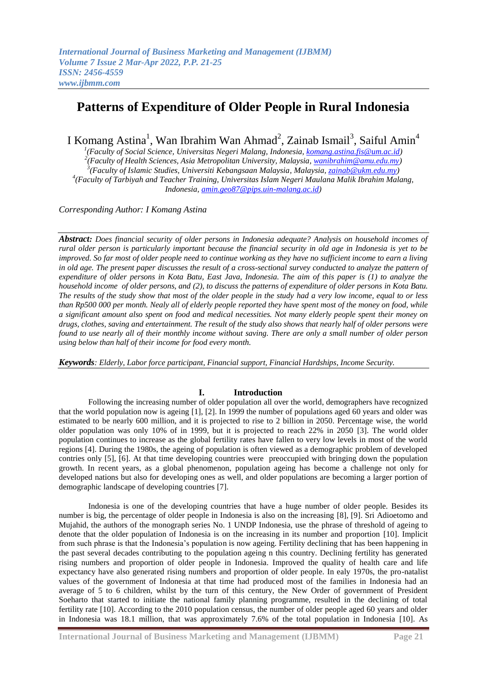# **Patterns of Expenditure of Older People in Rural Indonesia**

I Komang Astina<sup>1</sup>, Wan Ibrahim Wan Ahmad<sup>2</sup>, Zainab Ismail<sup>3</sup>, Saiful Amin<sup>4</sup>

 *(Faculty of Social Science, Universitas Negeri Malang, Indonesia, [komang.astina.fis@um.ac.id\)](mailto:komang.astina.fis@um.ac.id) (Faculty of Health Sciences, Asia Metropolitan University, Malaysia, [wanibrahim@amu.edu.my\)](mailto:wanibrahim@amu.edu.my) (Faculty of Islamic Studies, Universiti Kebangsaan Malaysia, Malaysia, [zainab@ukm.edu.my\)](mailto:zainab@ukm.edu.my) (Faculty of Tarbiyah and Teacher Training, Universitas Islam Negeri Maulana Malik Ibrahim Malang, Indonesia, [amin.geo87@pips.uin-malang.ac.id\)](mailto:amin.geo87@pips.uin-malang.ac.id)*

*Corresponding Author: I Komang Astina*

*Abstract: Does financial security of older persons in Indonesia adequate? Analysis on household incomes of rural older person is particularly important because the financial security in old age in Indonesia is yet to be improved. So far most of older people need to continue working as they have no sufficient income to earn a living in old age. The present paper discusses the result of a cross-sectional survey conducted to analyze the pattern of expenditure of older persons in Kota Batu, East Java, Indonesia. The aim of this paper is (1) to analyze the household income of older persons, and (2), to discuss the patterns of expenditure of older persons in Kota Batu. The results of the study show that most of the older people in the study had a very low income, equal to or less than Rp500 000 per month. Nealy all of elderly people reported they have spent most of the money on food, while a significant amount also spent on food and medical necessities. Not many elderly people spent their money on drugs, clothes, saving and entertainment. The result of the study also shows that nearly half of older persons were found to use nearly all of their monthly income without saving. There are only a small number of older person using below than half of their income for food every month.*

*Keywords: Elderly, Labor force participant, Financial support, Financial Hardships, Income Security.*

## **I. Introduction**

Following the increasing number of older population all over the world, demographers have recognized that the world population now is ageing [1], [2]. In 1999 the number of populations aged 60 years and older was estimated to be nearly 600 million, and it is projected to rise to 2 billion in 2050. Percentage wise, the world older population was only 10% of in 1999, but it is projected to reach 22% in 2050 [3]. The world older population continues to increase as the global fertility rates have fallen to very low levels in most of the world regions [4]. During the 1980s, the ageing of population is often viewed as a demographic problem of developed contries only [5], [6]. At that time developing countries were preoccupied with bringing down the population growth. In recent years, as a global phenomenon, population ageing has become a challenge not only for developed nations but also for developing ones as well, and older populations are becoming a larger portion of demographic landscape of developing countries [7].

Indonesia is one of the developing countries that have a huge number of older people. Besides its number is big, the percentage of older people in Indonesia is also on the increasing [8], [9]. Sri Adioetomo and Mujahid, the authors of the monograph series No. 1 UNDP Indonesia, use the phrase of threshold of ageing to denote that the older population of Indonesia is on the increasing in its number and proportion [10]. Implicit from such phrase is that the Indonesia's population is now ageing. Fertility declining that has been happening in the past several decades contributing to the population ageing n this country. Declining fertility has generated rising numbers and proportion of older people in Indonesia. Improved the quality of health care and life expectancy have also generated rising numbers and proportion of older people. In ealy 1970s, the pro-natalist values of the government of Indonesia at that time had produced most of the families in Indonesia had an average of 5 to 6 children, whilst by the turn of this century, the New Order of government of President Soeharto that started to initiate the national family planning programme, resulted in the declining of total fertility rate [10]. According to the 2010 population census, the number of older people aged 60 years and older in Indonesia was 18.1 million, that was approximately 7.6% of the total population in Indonesia [10]. As

**International Journal of Business Marketing and Management (IJBMM) Page 21**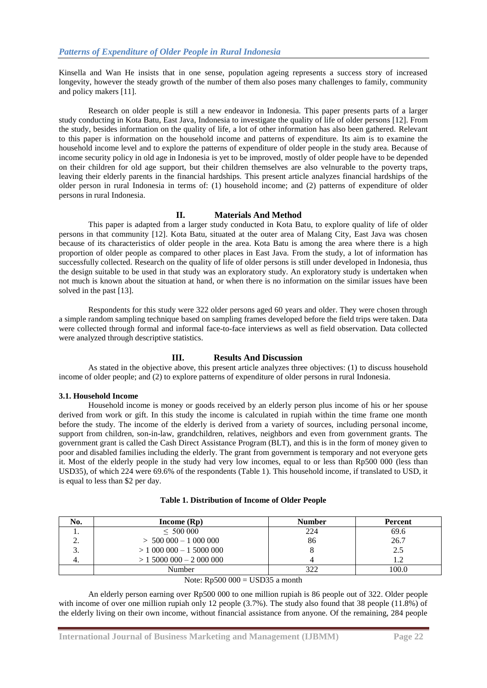Kinsella and Wan He insists that in one sense, population ageing represents a success story of increased longevity, however the steady growth of the number of them also poses many challenges to family, community and policy makers [11].

Research on older people is still a new endeavor in Indonesia. This paper presents parts of a larger study conducting in Kota Batu, East Java, Indonesia to investigate the quality of life of older persons [12]. From the study, besides information on the quality of life, a lot of other information has also been gathered. Relevant to this paper is information on the household income and patterns of expenditure. Its aim is to examine the household income level and to explore the patterns of expenditure of older people in the study area. Because of income security policy in old age in Indonesia is yet to be improved, mostly of older people have to be depended on their children for old age support, but their children themselves are also velnurable to the poverty traps, leaving their elderly parents in the financial hardships. This present article analyzes financial hardships of the older person in rural Indonesia in terms of: (1) household income; and (2) patterns of expenditure of older persons in rural Indonesia.

## **II. Materials And Method**

This paper is adapted from a larger study conducted in Kota Batu, to explore quality of life of older persons in that community [12]. Kota Batu, situated at the outer area of Malang City, East Java was chosen because of its characteristics of older people in the area. Kota Batu is among the area where there is a high proportion of older people as compared to other places in East Java. From the study, a lot of information has successfully collected. Research on the quality of life of older persons is still under developed in Indonesia, thus the design suitable to be used in that study was an exploratory study. An exploratory study is undertaken when not much is known about the situation at hand, or when there is no information on the similar issues have been solved in the past [13].

Respondents for this study were 322 older persons aged 60 years and older. They were chosen through a simple random sampling technique based on sampling frames developed before the field trips were taken. Data were collected through formal and informal face-to-face interviews as well as field observation. Data collected were analyzed through descriptive statistics.

## **III. Results And Discussion**

As stated in the objective above, this present article analyzes three objectives: (1) to discuss household income of older people; and (2) to explore patterns of expenditure of older persons in rural Indonesia.

#### **3.1. Household Income**

Household income is money or goods received by an elderly person plus income of his or her spouse derived from work or gift. In this study the income is calculated in rupiah within the time frame one month before the study. The income of the elderly is derived from a variety of sources, including personal income, support from children, son-in-law, grandchildren, relatives, neighbors and even from government grants. The government grant is called the Cash Direct Assistance Program (BLT), and this is in the form of money given to poor and disabled families including the elderly. The grant from government is temporary and not everyone gets it. Most of the elderly people in the study had very low incomes, equal to or less than Rp500 000 (less than USD35), of which 224 were 69.6% of the respondents (Table 1). This household income, if translated to USD, it is equal to less than \$2 per day.

| No. | Income $(Rp)$              | <b>Number</b> | Percent |
|-----|----------------------------|---------------|---------|
| . . | < 500000                   | 224           | 69.6    |
| ، ت | $> 500000 - 1000000$       | 86            | 26.7    |
| J.  | $> 1000000 - 15000000$     |               | 2.5     |
| ᠇.  | $> 1,5000,000 - 2,000,000$ |               |         |
|     | Number                     | 200           | 100.0   |

#### Note:  $Rp500 000 = USD35$  a month

An elderly person earning over Rp500 000 to one million rupiah is 86 people out of 322. Older people with income of over one million rupiah only 12 people (3.7%). The study also found that 38 people (11.8%) of the elderly living on their own income, without financial assistance from anyone. Of the remaining, 284 people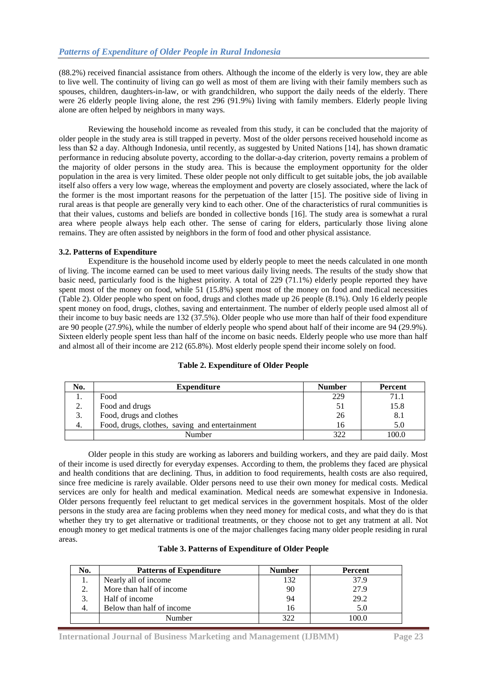(88.2%) received financial assistance from others. Although the income of the elderly is very low, they are able to live well. The continuity of living can go well as most of them are living with their family members such as spouses, children, daughters-in-law, or with grandchildren, who support the daily needs of the elderly. There were 26 elderly people living alone, the rest 296 (91.9%) living with family members. Elderly people living alone are often helped by neighbors in many ways.

Reviewing the household income as revealed from this study, it can be concluded that the majority of older people in the study area is still trapped in peverty. Most of the older persons received household income as less than \$2 a day. Although Indonesia, until recently, as suggested by United Nations [14], has shown dramatic performance in reducing absolute poverty, according to the dollar-a-day criterion, poverty remains a problem of the majority of older persons in the study area. This is because the employment opportunity for the older population in the area is very limited. These older people not only difficult to get suitable jobs, the job available itself also offers a very low wage, whereas the employment and poverty are closely associated, where the lack of the former is the most important reasons for the perpetuation of the latter [15]. The positive side of living in rural areas is that people are generally very kind to each other. One of the characteristics of rural communities is that their values, customs and beliefs are bonded in collective bonds [16]. The study area is somewhat a rural area where people always help each other. The sense of caring for elders, particularly those living alone remains. They are often assisted by neighbors in the form of food and other physical assistance.

## **3.2. Patterns of Expenditure**

Expenditure is the household income used by elderly people to meet the needs calculated in one month of living. The income earned can be used to meet various daily living needs. The results of the study show that basic need, particularly food is the highest priority. A total of 229 (71.1%) elderly people reported they have spent most of the money on food, while 51 (15.8%) spent most of the money on food and medical necessities (Table 2). Older people who spent on food, drugs and clothes made up 26 people (8.1%). Only 16 elderly people spent money on food, drugs, clothes, saving and entertainment. The number of elderly people used almost all of their income to buy basic needs are 132 (37.5%). Older people who use more than half of their food expenditure are 90 people (27.9%), while the number of elderly people who spend about half of their income are 94 (29.9%). Sixteen elderly people spent less than half of the income on basic needs. Elderly people who use more than half and almost all of their income are 212 (65.8%). Most elderly people spend their income solely on food.

| No. | <b>Expenditure</b>                             | <b>Number</b> | Percent |
|-----|------------------------------------------------|---------------|---------|
|     | Food                                           | 229           | 71.1    |
| ۷.  | Food and drugs                                 |               | 15.8    |
|     | Food, drugs and clothes                        | 26            | 8.1     |
| 4.  | Food, drugs, clothes, saving and entertainment | l fi          | 5.0     |
|     | Number                                         | 322           | 100.0   |

## **Table 2. Expenditure of Older People**

Older people in this study are working as laborers and building workers, and they are paid daily. Most of their income is used directly for everyday expenses. According to them, the problems they faced are physical and health conditions that are declining. Thus, in addition to food requirements, health costs are also required, since free medicine is rarely available. Older persons need to use their own money for medical costs. Medical services are only for health and medical examination. Medical needs are somewhat expensive in Indonesia. Older persons frequently feel reluctant to get medical services in the government hospitals. Most of the older persons in the study area are facing problems when they need money for medical costs, and what they do is that whether they try to get alternative or traditional treatments, or they choose not to get any tratment at all. Not enough money to get medical tratments is one of the major challenges facing many older people residing in rural areas.

|  |  | <b>Table 3. Patterns of Expenditure of Older People</b> |  |  |
|--|--|---------------------------------------------------------|--|--|
|--|--|---------------------------------------------------------|--|--|

| No. | <b>Patterns of Expenditure</b> | <b>Number</b> | Percent |
|-----|--------------------------------|---------------|---------|
|     | Nearly all of income           | 132           | 37.9    |
|     | More than half of income       | 90            | 27.9    |
|     | Half of income                 | 94            | 29.2    |
| 4.  | Below than half of income      | 16            |         |
|     | Number                         | 371           | 100.0   |

**International Journal of Business Marketing and Management (IJBMM) Page 23**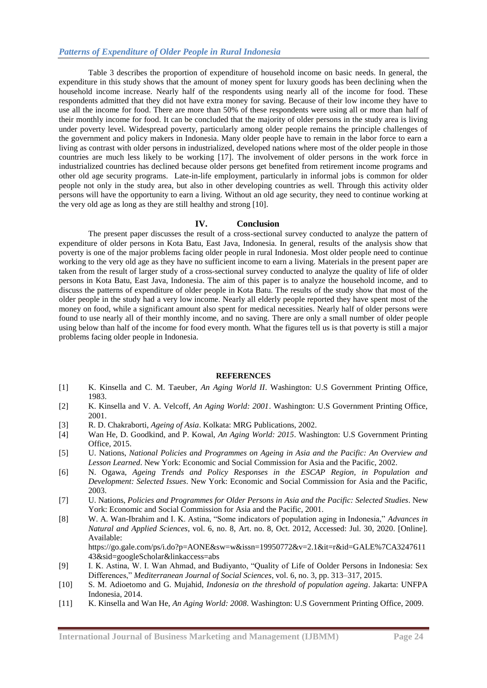Table 3 describes the proportion of expenditure of household income on basic needs. In general, the expenditure in this study shows that the amount of money spent for luxury goods has been declining when the household income increase. Nearly half of the respondents using nearly all of the income for food. These respondents admitted that they did not have extra money for saving. Because of their low income they have to use all the income for food. There are more than 50% of these respondents were using all or more than half of their monthly income for food. It can be concluded that the majority of older persons in the study area is living under poverty level. Widespread poverty, particularly among older people remains the principle challenges of the government and policy makers in Indonesia. Many older people have to remain in the labor force to earn a living as contrast with older persons in industrialized, developed nations where most of the older people in those countries are much less likely to be working [17]. The involvement of older persons in the work force in industrialized countries has declined because older persons get benefited from retirement income programs and other old age security programs. Late-in-life employment, particularly in informal jobs is common for older people not only in the study area, but also in other developing countries as well. Through this activity older persons will have the opportunity to earn a living. Without an old age security, they need to continue working at the very old age as long as they are still healthy and strong [10].

## **IV. Conclusion**

The present paper discusses the result of a cross-sectional survey conducted to analyze the pattern of expenditure of older persons in Kota Batu, East Java, Indonesia. In general, results of the analysis show that poverty is one of the major problems facing older people in rural Indonesia. Most older people need to continue working to the very old age as they have no sufficient income to earn a living. Materials in the present paper are taken from the result of larger study of a cross-sectional survey conducted to analyze the quality of life of older persons in Kota Batu, East Java, Indonesia. The aim of this paper is to analyze the household income, and to discuss the patterns of expenditure of older people in Kota Batu. The results of the study show that most of the older people in the study had a very low income. Nearly all elderly people reported they have spent most of the money on food, while a significant amount also spent for medical necessities. Nearly half of older persons were found to use nearly all of their monthly income, and no saving. There are only a small number of older people using below than half of the income for food every month. What the figures tell us is that poverty is still a major problems facing older people in Indonesia.

#### **REFERENCES**

- [1] K. Kinsella and C. M. Taeuber, *An Aging World II*. Washington: U.S Government Printing Office, 1983.
- [2] K. Kinsella and V. A. Velcoff, *An Aging World: 2001*. Washington: U.S Government Printing Office, 2001.
- [3] R. D. Chakraborti, *Ageing of Asia*. Kolkata: MRG Publications, 2002.
- [4] Wan He, D. Goodkind, and P. Kowal, *An Aging World: 2015*. Washington: U.S Government Printing Office, 2015.
- [5] U. Nations, *National Policies and Programmes on Ageing in Asia and the Pacific: An Overview and Lesson Learned*. New York: Economic and Social Commission for Asia and the Pacific, 2002.
- [6] N. Ogawa, *Ageing Trends and Policy Responses in the ESCAP Region, in Population and Development: Selected Issues*. New York: Economic and Social Commission for Asia and the Pacific, 2003.
- [7] U. Nations, *Policies and Programmes for Older Persons in Asia and the Pacific: Selected Studies*. New York: Economic and Social Commission for Asia and the Pacific, 2001.
- [8] W. A. Wan-Ibrahim and I. K. Astina, "Some indicators of population aging in Indonesia," *Advances in Natural and Applied Sciences*, vol. 6, no. 8, Art. no. 8, Oct. 2012, Accessed: Jul. 30, 2020. [Online]. Available:

https://go.gale.com/ps/i.do?p=AONE&sw=w&issn=19950772&v=2.1&it=r&id=GALE%7CA3247611 43&sid=googleScholar&linkaccess=abs

- [9] I. K. Astina, W. I. Wan Ahmad, and Budiyanto, "Quality of Life of Oolder Persons in Indonesia: Sex Differences," *Mediterranean Journal of Social Sciences*, vol. 6, no. 3, pp. 313–317, 2015.
- [10] S. M. Adioetomo and G. Mujahid, *Indonesia on the threshold of population ageing*. Jakarta: UNFPA Indonesia, 2014.
- [11] K. Kinsella and Wan He, *An Aging World: 2008*. Washington: U.S Government Printing Office, 2009.